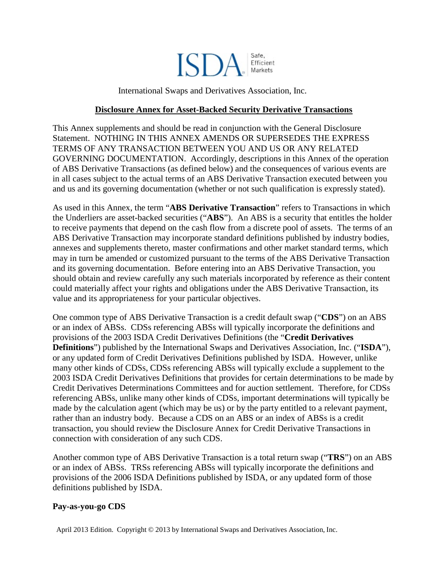

International Swaps and Derivatives Association, Inc.

#### **Disclosure Annex for Asset-Backed Security Derivative Transactions**

This Annex supplements and should be read in conjunction with the General Disclosure Statement. NOTHING IN THIS ANNEX AMENDS OR SUPERSEDES THE EXPRESS TERMS OF ANY TRANSACTION BETWEEN YOU AND US OR ANY RELATED GOVERNING DOCUMENTATION. Accordingly, descriptions in this Annex of the operation of ABS Derivative Transactions (as defined below) and the consequences of various events are in all cases subject to the actual terms of an ABS Derivative Transaction executed between you and us and its governing documentation (whether or not such qualification is expressly stated).

As used in this Annex, the term "**ABS Derivative Transaction**" refers to Transactions in which the Underliers are asset-backed securities ("**ABS**"). An ABS is a security that entitles the holder to receive payments that depend on the cash flow from a discrete pool of assets. The terms of an ABS Derivative Transaction may incorporate standard definitions published by industry bodies, annexes and supplements thereto, master confirmations and other market standard terms, which may in turn be amended or customized pursuant to the terms of the ABS Derivative Transaction and its governing documentation. Before entering into an ABS Derivative Transaction, you should obtain and review carefully any such materials incorporated by reference as their content could materially affect your rights and obligations under the ABS Derivative Transaction, its value and its appropriateness for your particular objectives.

One common type of ABS Derivative Transaction is a credit default swap ("**CDS**") on an ABS or an index of ABSs. CDSs referencing ABSs will typically incorporate the definitions and provisions of the 2003 ISDA Credit Derivatives Definitions (the "**Credit Derivatives Definitions**") published by the International Swaps and Derivatives Association, Inc. ("**ISDA**"), or any updated form of Credit Derivatives Definitions published by ISDA. However, unlike many other kinds of CDSs, CDSs referencing ABSs will typically exclude a supplement to the 2003 ISDA Credit Derivatives Definitions that provides for certain determinations to be made by Credit Derivatives Determinations Committees and for auction settlement. Therefore, for CDSs referencing ABSs, unlike many other kinds of CDSs, important determinations will typically be made by the calculation agent (which may be us) or by the party entitled to a relevant payment, rather than an industry body. Because a CDS on an ABS or an index of ABSs is a credit transaction, you should review the Disclosure Annex for Credit Derivative Transactions in connection with consideration of any such CDS.

Another common type of ABS Derivative Transaction is a total return swap ("**TRS**") on an ABS or an index of ABSs. TRSs referencing ABSs will typically incorporate the definitions and provisions of the 2006 ISDA Definitions published by ISDA, or any updated form of those definitions published by ISDA.

#### **Pay-as-you-go CDS**

April 2013 Edition. Copyright © 2013 by International Swaps and Derivatives Association, Inc.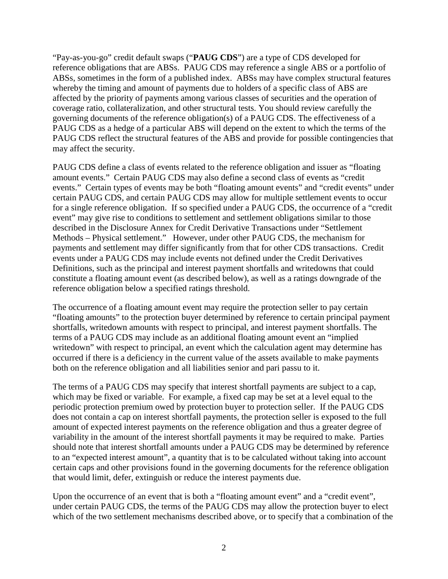"Pay-as-you-go" credit default swaps ("**PAUG CDS**") are a type of CDS developed for reference obligations that are ABSs. PAUG CDS may reference a single ABS or a portfolio of ABSs, sometimes in the form of a published index. ABSs may have complex structural features whereby the timing and amount of payments due to holders of a specific class of ABS are affected by the priority of payments among various classes of securities and the operation of coverage ratio, collateralization, and other structural tests. You should review carefully the governing documents of the reference obligation(s) of a PAUG CDS. The effectiveness of a PAUG CDS as a hedge of a particular ABS will depend on the extent to which the terms of the PAUG CDS reflect the structural features of the ABS and provide for possible contingencies that may affect the security.

PAUG CDS define a class of events related to the reference obligation and issuer as "floating amount events." Certain PAUG CDS may also define a second class of events as "credit events." Certain types of events may be both "floating amount events" and "credit events" under certain PAUG CDS, and certain PAUG CDS may allow for multiple settlement events to occur for a single reference obligation. If so specified under a PAUG CDS, the occurrence of a "credit event" may give rise to conditions to settlement and settlement obligations similar to those described in the Disclosure Annex for Credit Derivative Transactions under "Settlement Methods – Physical settlement." However, under other PAUG CDS, the mechanism for payments and settlement may differ significantly from that for other CDS transactions. Credit events under a PAUG CDS may include events not defined under the Credit Derivatives Definitions, such as the principal and interest payment shortfalls and writedowns that could constitute a floating amount event (as described below), as well as a ratings downgrade of the reference obligation below a specified ratings threshold.

The occurrence of a floating amount event may require the protection seller to pay certain "floating amounts" to the protection buyer determined by reference to certain principal payment shortfalls, writedown amounts with respect to principal, and interest payment shortfalls. The terms of a PAUG CDS may include as an additional floating amount event an "implied writedown" with respect to principal, an event which the calculation agent may determine has occurred if there is a deficiency in the current value of the assets available to make payments both on the reference obligation and all liabilities senior and pari passu to it.

The terms of a PAUG CDS may specify that interest shortfall payments are subject to a cap, which may be fixed or variable. For example, a fixed cap may be set at a level equal to the periodic protection premium owed by protection buyer to protection seller. If the PAUG CDS does not contain a cap on interest shortfall payments, the protection seller is exposed to the full amount of expected interest payments on the reference obligation and thus a greater degree of variability in the amount of the interest shortfall payments it may be required to make. Parties should note that interest shortfall amounts under a PAUG CDS may be determined by reference to an "expected interest amount", a quantity that is to be calculated without taking into account certain caps and other provisions found in the governing documents for the reference obligation that would limit, defer, extinguish or reduce the interest payments due.

Upon the occurrence of an event that is both a "floating amount event" and a "credit event", under certain PAUG CDS, the terms of the PAUG CDS may allow the protection buyer to elect which of the two settlement mechanisms described above, or to specify that a combination of the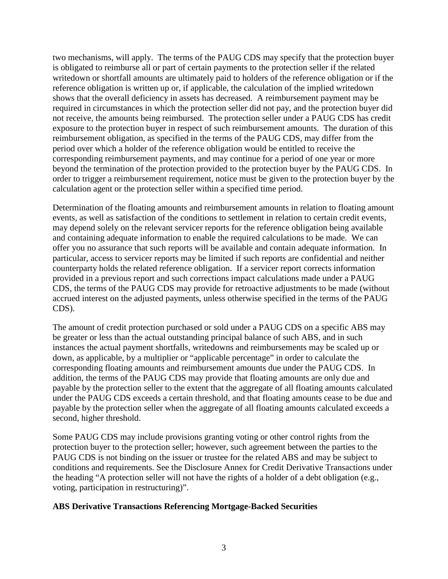two mechanisms, will apply. The terms of the PAUG CDS may specify that the protection buyer is obligated to reimburse all or part of certain payments to the protection seller if the related writedown or shortfall amounts are ultimately paid to holders of the reference obligation or if the reference obligation is written up or, if applicable, the calculation of the implied writedown shows that the overall deficiency in assets has decreased. A reimbursement payment may be required in circumstances in which the protection seller did not pay, and the protection buyer did not receive, the amounts being reimbursed. The protection seller under a PAUG CDS has credit exposure to the protection buyer in respect of such reimbursement amounts. The duration of this reimbursement obligation, as specified in the terms of the PAUG CDS, may differ from the period over which a holder of the reference obligation would be entitled to receive the corresponding reimbursement payments, and may continue for a period of one year or more beyond the termination of the protection provided to the protection buyer by the PAUG CDS. In order to trigger a reimbursement requirement, notice must be given to the protection buyer by the calculation agent or the protection seller within a specified time period.

Determination of the floating amounts and reimbursement amounts in relation to floating amount events, as well as satisfaction of the conditions to settlement in relation to certain credit events, may depend solely on the relevant servicer reports for the reference obligation being available and containing adequate information to enable the required calculations to be made. We can offer you no assurance that such reports will be available and contain adequate information. In particular, access to servicer reports may be limited if such reports are confidential and neither counterparty holds the related reference obligation. If a servicer report corrects information provided in a previous report and such corrections impact calculations made under a PAUG CDS, the terms of the PAUG CDS may provide for retroactive adjustments to be made (without accrued interest on the adjusted payments, unless otherwise specified in the terms of the PAUG CDS).

The amount of credit protection purchased or sold under a PAUG CDS on a specific ABS may be greater or less than the actual outstanding principal balance of such ABS, and in such instances the actual payment shortfalls, writedowns and reimbursements may be scaled up or down, as applicable, by a multiplier or "applicable percentage" in order to calculate the corresponding floating amounts and reimbursement amounts due under the PAUG CDS. In addition, the terms of the PAUG CDS may provide that floating amounts are only due and payable by the protection seller to the extent that the aggregate of all floating amounts calculated under the PAUG CDS exceeds a certain threshold, and that floating amounts cease to be due and payable by the protection seller when the aggregate of all floating amounts calculated exceeds a second, higher threshold.

Some PAUG CDS may include provisions granting voting or other control rights from the protection buyer to the protection seller; however, such agreement between the parties to the PAUG CDS is not binding on the issuer or trustee for the related ABS and may be subject to conditions and requirements. See the Disclosure Annex for Credit Derivative Transactions under the heading "A protection seller will not have the rights of a holder of a debt obligation (e.g., voting, participation in restructuring)".

## **ABS Derivative Transactions Referencing Mortgage-Backed Securities**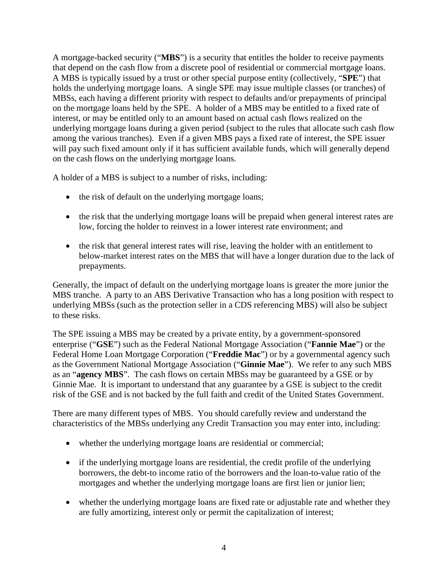A mortgage-backed security ("**MBS**") is a security that entitles the holder to receive payments that depend on the cash flow from a discrete pool of residential or commercial mortgage loans. A MBS is typically issued by a trust or other special purpose entity (collectively, "**SPE**") that holds the underlying mortgage loans. A single SPE may issue multiple classes (or tranches) of MBSs, each having a different priority with respect to defaults and/or prepayments of principal on the mortgage loans held by the SPE. A holder of a MBS may be entitled to a fixed rate of interest, or may be entitled only to an amount based on actual cash flows realized on the underlying mortgage loans during a given period (subject to the rules that allocate such cash flow among the various tranches). Even if a given MBS pays a fixed rate of interest, the SPE issuer will pay such fixed amount only if it has sufficient available funds, which will generally depend on the cash flows on the underlying mortgage loans.

A holder of a MBS is subject to a number of risks, including:

- the risk of default on the underlying mortgage loans;
- the risk that the underlying mortgage loans will be prepaid when general interest rates are low, forcing the holder to reinvest in a lower interest rate environment; and
- the risk that general interest rates will rise, leaving the holder with an entitlement to below-market interest rates on the MBS that will have a longer duration due to the lack of prepayments.

Generally, the impact of default on the underlying mortgage loans is greater the more junior the MBS tranche. A party to an ABS Derivative Transaction who has a long position with respect to underlying MBSs (such as the protection seller in a CDS referencing MBS) will also be subject to these risks.

The SPE issuing a MBS may be created by a private entity, by a government-sponsored enterprise ("**GSE**") such as the Federal National Mortgage Association ("**Fannie Mae**") or the Federal Home Loan Mortgage Corporation ("**Freddie Mac**") or by a governmental agency such as the Government National Mortgage Association ("**Ginnie Mae**"). We refer to any such MBS as an "**agency MBS**". The cash flows on certain MBSs may be guaranteed by a GSE or by Ginnie Mae. It is important to understand that any guarantee by a GSE is subject to the credit risk of the GSE and is not backed by the full faith and credit of the United States Government.

There are many different types of MBS. You should carefully review and understand the characteristics of the MBSs underlying any Credit Transaction you may enter into, including:

- whether the underlying mortgage loans are residential or commercial;
- if the underlying mortgage loans are residential, the credit profile of the underlying borrowers, the debt-to income ratio of the borrowers and the loan-to-value ratio of the mortgages and whether the underlying mortgage loans are first lien or junior lien;
- whether the underlying mortgage loans are fixed rate or adjustable rate and whether they are fully amortizing, interest only or permit the capitalization of interest;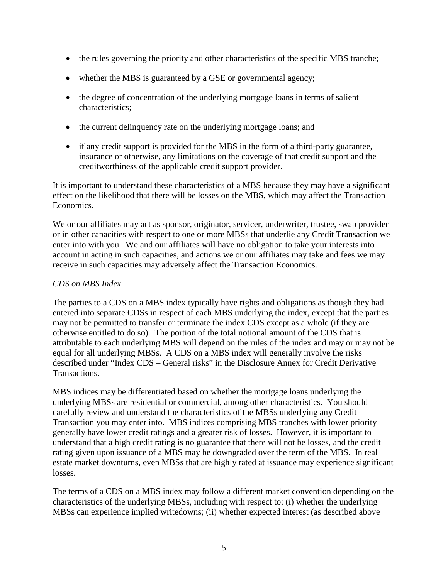- the rules governing the priority and other characteristics of the specific MBS tranche;
- whether the MBS is guaranteed by a GSE or governmental agency;
- the degree of concentration of the underlying mortgage loans in terms of salient characteristics;
- the current delinguency rate on the underlying mortgage loans; and
- if any credit support is provided for the MBS in the form of a third-party guarantee, insurance or otherwise, any limitations on the coverage of that credit support and the creditworthiness of the applicable credit support provider.

It is important to understand these characteristics of a MBS because they may have a significant effect on the likelihood that there will be losses on the MBS, which may affect the Transaction Economics.

We or our affiliates may act as sponsor, originator, servicer, underwriter, trustee, swap provider or in other capacities with respect to one or more MBSs that underlie any Credit Transaction we enter into with you. We and our affiliates will have no obligation to take your interests into account in acting in such capacities, and actions we or our affiliates may take and fees we may receive in such capacities may adversely affect the Transaction Economics.

# *CDS on MBS Index*

The parties to a CDS on a MBS index typically have rights and obligations as though they had entered into separate CDSs in respect of each MBS underlying the index, except that the parties may not be permitted to transfer or terminate the index CDS except as a whole (if they are otherwise entitled to do so). The portion of the total notional amount of the CDS that is attributable to each underlying MBS will depend on the rules of the index and may or may not be equal for all underlying MBSs. A CDS on a MBS index will generally involve the risks described under "Index CDS – General risks" in the Disclosure Annex for Credit Derivative Transactions.

MBS indices may be differentiated based on whether the mortgage loans underlying the underlying MBSs are residential or commercial, among other characteristics. You should carefully review and understand the characteristics of the MBSs underlying any Credit Transaction you may enter into. MBS indices comprising MBS tranches with lower priority generally have lower credit ratings and a greater risk of losses. However, it is important to understand that a high credit rating is no guarantee that there will not be losses, and the credit rating given upon issuance of a MBS may be downgraded over the term of the MBS. In real estate market downturns, even MBSs that are highly rated at issuance may experience significant losses.

The terms of a CDS on a MBS index may follow a different market convention depending on the characteristics of the underlying MBSs, including with respect to: (i) whether the underlying MBSs can experience implied writedowns; (ii) whether expected interest (as described above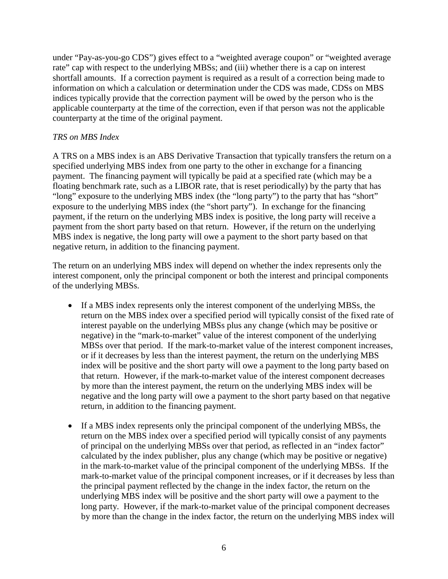under "Pay-as-you-go CDS") gives effect to a "weighted average coupon" or "weighted average rate" cap with respect to the underlying MBSs; and (iii) whether there is a cap on interest shortfall amounts. If a correction payment is required as a result of a correction being made to information on which a calculation or determination under the CDS was made, CDSs on MBS indices typically provide that the correction payment will be owed by the person who is the applicable counterparty at the time of the correction, even if that person was not the applicable counterparty at the time of the original payment.

## *TRS on MBS Index*

A TRS on a MBS index is an ABS Derivative Transaction that typically transfers the return on a specified underlying MBS index from one party to the other in exchange for a financing payment. The financing payment will typically be paid at a specified rate (which may be a floating benchmark rate, such as a LIBOR rate, that is reset periodically) by the party that has "long" exposure to the underlying MBS index (the "long party") to the party that has "short" exposure to the underlying MBS index (the "short party"). In exchange for the financing payment, if the return on the underlying MBS index is positive, the long party will receive a payment from the short party based on that return. However, if the return on the underlying MBS index is negative, the long party will owe a payment to the short party based on that negative return, in addition to the financing payment.

The return on an underlying MBS index will depend on whether the index represents only the interest component, only the principal component or both the interest and principal components of the underlying MBSs.

- If a MBS index represents only the interest component of the underlying MBSs, the return on the MBS index over a specified period will typically consist of the fixed rate of interest payable on the underlying MBSs plus any change (which may be positive or negative) in the "mark-to-market" value of the interest component of the underlying MBSs over that period. If the mark-to-market value of the interest component increases, or if it decreases by less than the interest payment, the return on the underlying MBS index will be positive and the short party will owe a payment to the long party based on that return. However, if the mark-to-market value of the interest component decreases by more than the interest payment, the return on the underlying MBS index will be negative and the long party will owe a payment to the short party based on that negative return, in addition to the financing payment.
- If a MBS index represents only the principal component of the underlying MBSs, the return on the MBS index over a specified period will typically consist of any payments of principal on the underlying MBSs over that period, as reflected in an "index factor" calculated by the index publisher, plus any change (which may be positive or negative) in the mark-to-market value of the principal component of the underlying MBSs. If the mark-to-market value of the principal component increases, or if it decreases by less than the principal payment reflected by the change in the index factor, the return on the underlying MBS index will be positive and the short party will owe a payment to the long party. However, if the mark-to-market value of the principal component decreases by more than the change in the index factor, the return on the underlying MBS index will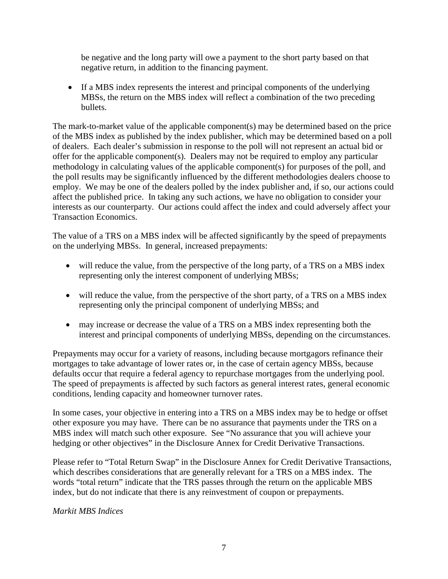be negative and the long party will owe a payment to the short party based on that negative return, in addition to the financing payment.

• If a MBS index represents the interest and principal components of the underlying MBSs, the return on the MBS index will reflect a combination of the two preceding bullets.

The mark-to-market value of the applicable component(s) may be determined based on the price of the MBS index as published by the index publisher, which may be determined based on a poll of dealers. Each dealer's submission in response to the poll will not represent an actual bid or offer for the applicable component(s). Dealers may not be required to employ any particular methodology in calculating values of the applicable component(s) for purposes of the poll, and the poll results may be significantly influenced by the different methodologies dealers choose to employ. We may be one of the dealers polled by the index publisher and, if so, our actions could affect the published price. In taking any such actions, we have no obligation to consider your interests as our counterparty. Our actions could affect the index and could adversely affect your Transaction Economics.

The value of a TRS on a MBS index will be affected significantly by the speed of prepayments on the underlying MBSs. In general, increased prepayments:

- will reduce the value, from the perspective of the long party, of a TRS on a MBS index representing only the interest component of underlying MBSs;
- will reduce the value, from the perspective of the short party, of a TRS on a MBS index representing only the principal component of underlying MBSs; and
- may increase or decrease the value of a TRS on a MBS index representing both the interest and principal components of underlying MBSs, depending on the circumstances.

Prepayments may occur for a variety of reasons, including because mortgagors refinance their mortgages to take advantage of lower rates or, in the case of certain agency MBSs, because defaults occur that require a federal agency to repurchase mortgages from the underlying pool. The speed of prepayments is affected by such factors as general interest rates, general economic conditions, lending capacity and homeowner turnover rates.

In some cases, your objective in entering into a TRS on a MBS index may be to hedge or offset other exposure you may have. There can be no assurance that payments under the TRS on a MBS index will match such other exposure. See "No assurance that you will achieve your hedging or other objectives" in the Disclosure Annex for Credit Derivative Transactions.

Please refer to "Total Return Swap" in the Disclosure Annex for Credit Derivative Transactions, which describes considerations that are generally relevant for a TRS on a MBS index. The words "total return" indicate that the TRS passes through the return on the applicable MBS index, but do not indicate that there is any reinvestment of coupon or prepayments.

*Markit MBS Indices*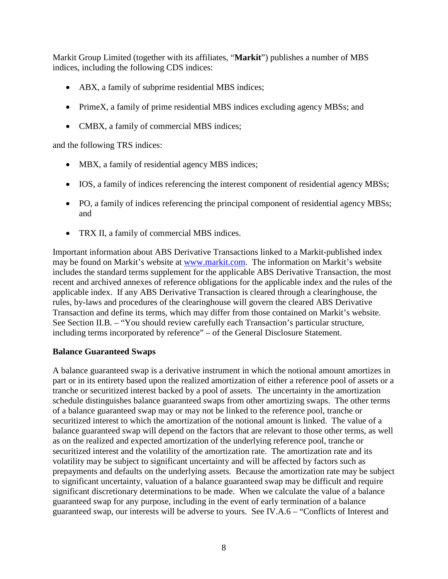Markit Group Limited (together with its affiliates, "**Markit**") publishes a number of MBS indices, including the following CDS indices:

- ABX, a family of subprime residential MBS indices;
- PrimeX, a family of prime residential MBS indices excluding agency MBSs; and
- CMBX, a family of commercial MBS indices;

and the following TRS indices:

- MBX, a family of residential agency MBS indices;
- IOS, a family of indices referencing the interest component of residential agency MBSs;
- PO, a family of indices referencing the principal component of residential agency MBSs; and
- TRX II, a family of commercial MBS indices.

Important information about ABS Derivative Transactions linked to a Markit-published index may be found on Markit's website at [www.markit.com.](http://www.markit.com/) The information on Markit's website includes the standard terms supplement for the applicable ABS Derivative Transaction, the most recent and archived annexes of reference obligations for the applicable index and the rules of the applicable index. If any ABS Derivative Transaction is cleared through a clearinghouse, the rules, by-laws and procedures of the clearinghouse will govern the cleared ABS Derivative Transaction and define its terms, which may differ from those contained on Markit's website. See Section II.B. – "You should review carefully each Transaction's particular structure, including terms incorporated by reference" – of the General Disclosure Statement.

# **Balance Guaranteed Swaps**

A balance guaranteed swap is a derivative instrument in which the notional amount amortizes in part or in its entirety based upon the realized amortization of either a reference pool of assets or a tranche or securitized interest backed by a pool of assets. The uncertainty in the amortization schedule distinguishes balance guaranteed swaps from other amortizing swaps. The other terms of a balance guaranteed swap may or may not be linked to the reference pool, tranche or securitized interest to which the amortization of the notional amount is linked. The value of a balance guaranteed swap will depend on the factors that are relevant to those other terms, as well as on the realized and expected amortization of the underlying reference pool, tranche or securitized interest and the volatility of the amortization rate. The amortization rate and its volatility may be subject to significant uncertainty and will be affected by factors such as prepayments and defaults on the underlying assets. Because the amortization rate may be subject to significant uncertainty, valuation of a balance guaranteed swap may be difficult and require significant discretionary determinations to be made. When we calculate the value of a balance guaranteed swap for any purpose, including in the event of early termination of a balance guaranteed swap, our interests will be adverse to yours. See IV.A.6 – "Conflicts of Interest and